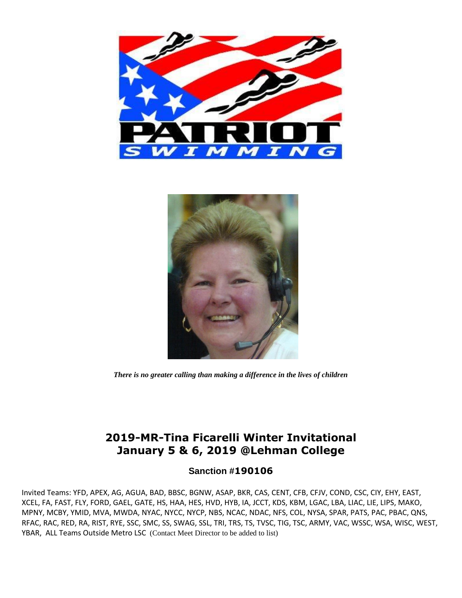



*There is no greater calling than making a difference in the lives of children*

## **2019-MR-Tina Ficarelli Winter Invitational January 5 & 6, 2019 @Lehman College**

### **Sanction #190106**

Invited Teams: YFD, APEX, AG, AGUA, BAD, BBSC, BGNW, ASAP, BKR, CAS, CENT, CFB, CFJV, COND, CSC, CIY, EHY, EAST, XCEL, FA, FAST, FLY, FORD, GAEL, GATE, HS, HAA, HES, HVD, HYB, IA, JCCT, KDS, KBM, LGAC, LBA, LIAC, LIE, LIPS, MAKO, MPNY, MCBY, YMID, MVA, MWDA, NYAC, NYCC, NYCP, NBS, NCAC, NDAC, NFS, COL, NYSA, SPAR, PATS, PAC, PBAC, QNS, RFAC, RAC, RED, RA, RIST, RYE, SSC, SMC, SS, SWAG, SSL, TRI, TRS, TS, TVSC, TIG, TSC, ARMY, VAC, WSSC, WSA, WISC, WEST, YBAR, ALL Teams Outside Metro LSC (Contact Meet Director to be added to list)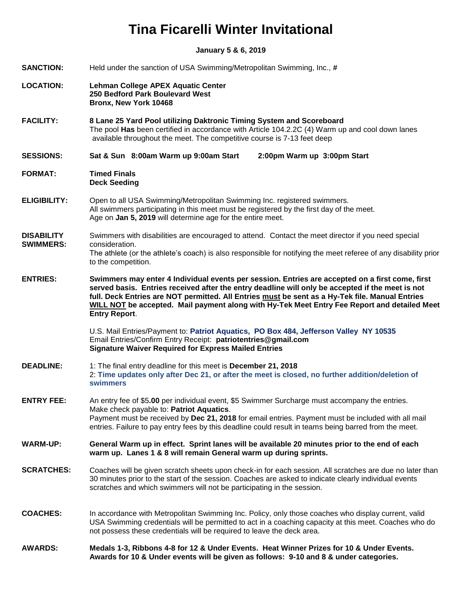# **Tina Ficarelli Winter Invitational**

**January 5 & 6, 2019**

| <b>SANCTION:</b>                      | Held under the sanction of USA Swimming/Metropolitan Swimming, Inc., #                                                                                                                                                                                                                                                                                                                                                         |  |
|---------------------------------------|--------------------------------------------------------------------------------------------------------------------------------------------------------------------------------------------------------------------------------------------------------------------------------------------------------------------------------------------------------------------------------------------------------------------------------|--|
| <b>LOCATION:</b>                      | Lehman College APEX Aquatic Center<br>250 Bedford Park Boulevard West<br>Bronx, New York 10468                                                                                                                                                                                                                                                                                                                                 |  |
| <b>FACILITY:</b>                      | 8 Lane 25 Yard Pool utilizing Daktronic Timing System and Scoreboard<br>The pool Has been certified in accordance with Article 104.2.2C (4) Warm up and cool down lanes<br>available throughout the meet. The competitive course is 7-13 feet deep                                                                                                                                                                             |  |
| <b>SESSIONS:</b>                      | Sat & Sun 8:00am Warm up 9:00am Start<br>2:00pm Warm up 3:00pm Start                                                                                                                                                                                                                                                                                                                                                           |  |
| <b>FORMAT:</b>                        | <b>Timed Finals</b><br><b>Deck Seeding</b>                                                                                                                                                                                                                                                                                                                                                                                     |  |
| <b>ELIGIBILITY:</b>                   | Open to all USA Swimming/Metropolitan Swimming Inc. registered swimmers.<br>All swimmers participating in this meet must be registered by the first day of the meet.<br>Age on Jan 5, 2019 will determine age for the entire meet.                                                                                                                                                                                             |  |
| <b>DISABILITY</b><br><b>SWIMMERS:</b> | Swimmers with disabilities are encouraged to attend. Contact the meet director if you need special<br>consideration.<br>The athlete (or the athlete's coach) is also responsible for notifying the meet referee of any disability prior                                                                                                                                                                                        |  |
|                                       | to the competition.                                                                                                                                                                                                                                                                                                                                                                                                            |  |
| <b>ENTRIES:</b>                       | Swimmers may enter 4 Individual events per session. Entries are accepted on a first come, first<br>served basis. Entries received after the entry deadline will only be accepted if the meet is not<br>full. Deck Entries are NOT permitted. All Entries must be sent as a Hy-Tek file. Manual Entries<br>WILL NOT be accepted. Mail payment along with Hy-Tek Meet Entry Fee Report and detailed Meet<br><b>Entry Report.</b> |  |
|                                       | U.S. Mail Entries/Payment to: Patriot Aquatics, PO Box 484, Jefferson Valley NY 10535<br>Email Entries/Confirm Entry Receipt: patriotentries@gmail.com<br><b>Signature Waiver Required for Express Mailed Entries</b>                                                                                                                                                                                                          |  |
| <b>DEADLINE:</b>                      | 1: The final entry deadline for this meet is December 21, 2018<br>2: Time updates only after Dec 21, or after the meet is closed, no further addition/deletion of<br>swimmers                                                                                                                                                                                                                                                  |  |
| <b>ENTRY FEE:</b>                     | An entry fee of \$5.00 per individual event, \$5 Swimmer Surcharge must accompany the entries.<br>Make check payable to: Patriot Aquatics.                                                                                                                                                                                                                                                                                     |  |
|                                       | Payment must be received by Dec 21, 2018 for email entries. Payment must be included with all mail<br>entries. Failure to pay entry fees by this deadline could result in teams being barred from the meet.                                                                                                                                                                                                                    |  |
| <b>WARM-UP:</b>                       | General Warm up in effect. Sprint lanes will be available 20 minutes prior to the end of each<br>warm up. Lanes 1 & 8 will remain General warm up during sprints.                                                                                                                                                                                                                                                              |  |
| <b>SCRATCHES:</b>                     | Coaches will be given scratch sheets upon check-in for each session. All scratches are due no later than<br>30 minutes prior to the start of the session. Coaches are asked to indicate clearly individual events<br>scratches and which swimmers will not be participating in the session.                                                                                                                                    |  |
| <b>COACHES:</b>                       | In accordance with Metropolitan Swimming Inc. Policy, only those coaches who display current, valid<br>USA Swimming credentials will be permitted to act in a coaching capacity at this meet. Coaches who do<br>not possess these credentials will be required to leave the deck area.                                                                                                                                         |  |
| <b>AWARDS:</b>                        | Medals 1-3, Ribbons 4-8 for 12 & Under Events. Heat Winner Prizes for 10 & Under Events.<br>Awards for 10 & Under events will be given as follows: 9-10 and 8 & under categories.                                                                                                                                                                                                                                              |  |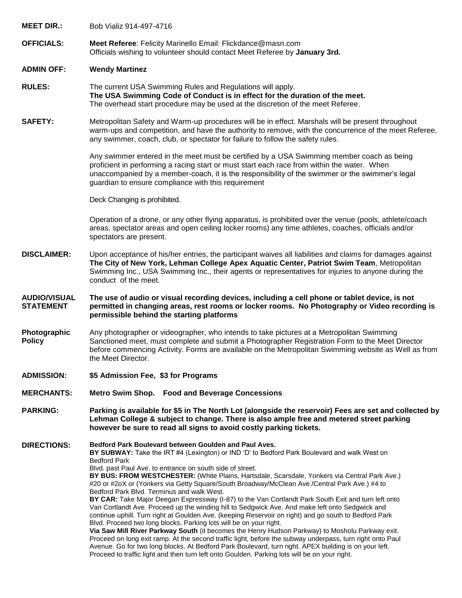| <b>MEET DIR.:</b>                       | Bob Vializ 914-497-4716                                                                                                                                                                                                                                                                                                                                                                                                                                                                                                                                                                          |
|-----------------------------------------|--------------------------------------------------------------------------------------------------------------------------------------------------------------------------------------------------------------------------------------------------------------------------------------------------------------------------------------------------------------------------------------------------------------------------------------------------------------------------------------------------------------------------------------------------------------------------------------------------|
| <b>OFFICIALS:</b>                       | Meet Referee: Felicity Marinello Email: Flickdance@masn.com<br>Officials wishing to volunteer should contact Meet Referee by January 3rd.                                                                                                                                                                                                                                                                                                                                                                                                                                                        |
| <b>ADMIN OFF:</b>                       | <b>Wendy Martinez</b>                                                                                                                                                                                                                                                                                                                                                                                                                                                                                                                                                                            |
| <b>RULES:</b>                           | The current USA Swimming Rules and Regulations will apply.<br>The USA Swimming Code of Conduct is in effect for the duration of the meet.<br>The overhead start procedure may be used at the discretion of the meet Referee.                                                                                                                                                                                                                                                                                                                                                                     |
| <b>SAFETY:</b>                          | Metropolitan Safety and Warm-up procedures will be in effect. Marshals will be present throughout<br>warm-ups and competition, and have the authority to remove, with the concurrence of the meet Referee,<br>any swimmer, coach, club, or spectator for failure to follow the safety rules.                                                                                                                                                                                                                                                                                                     |
|                                         | Any swimmer entered in the meet must be certified by a USA Swimming member coach as being<br>proficient in performing a racing start or must start each race from within the water. When<br>unaccompanied by a member-coach, it is the responsibility of the swimmer or the swimmer's legal<br>guardian to ensure compliance with this requirement                                                                                                                                                                                                                                               |
|                                         | Deck Changing is prohibited.                                                                                                                                                                                                                                                                                                                                                                                                                                                                                                                                                                     |
|                                         | Operation of a drone, or any other flying apparatus, is prohibited over the venue (pools, athlete/coach<br>areas, spectator areas and open ceiling locker rooms) any time athletes, coaches, officials and/or<br>spectators are present.                                                                                                                                                                                                                                                                                                                                                         |
| <b>DISCLAIMER:</b>                      | Upon acceptance of his/her entries, the participant waives all liabilities and claims for damages against<br>The City of New York, Lehman College Apex Aquatic Center, Patriot Swim Team, Metropolitan<br>Swimming Inc., USA Swimming Inc., their agents or representatives for injuries to anyone during the<br>conduct of the meet.                                                                                                                                                                                                                                                            |
| <b>AUDIO/VISUAL</b><br><b>STATEMENT</b> | The use of audio or visual recording devices, including a cell phone or tablet device, is not<br>permitted in changing areas, rest rooms or locker rooms. No Photography or Video recording is<br>permissible behind the starting platforms                                                                                                                                                                                                                                                                                                                                                      |
| Photographic<br><b>Policy</b>           | Any photographer or videographer, who intends to take pictures at a Metropolitan Swimming<br>Sanctioned meet, must complete and submit a Photographer Registration Form to the Meet Director<br>before commencing Activity. Forms are available on the Metropolitan Swimming website as Well as from<br>the Meet Director.                                                                                                                                                                                                                                                                       |
| <b>ADMISSION:</b>                       | \$5 Admission Fee, \$3 for Programs                                                                                                                                                                                                                                                                                                                                                                                                                                                                                                                                                              |
| <b>MERCHANTS:</b>                       | Metro Swim Shop. Food and Beverage Concessions                                                                                                                                                                                                                                                                                                                                                                                                                                                                                                                                                   |
| <b>PARKING:</b>                         | Parking is available for \$5 in The North Lot (alongside the reservoir) Fees are set and collected by<br>Lehman College & subject to change. There is also ample free and metered street parking<br>however be sure to read all signs to avoid costly parking tickets.                                                                                                                                                                                                                                                                                                                           |
| <b>DIRECTIONS:</b>                      | Bedford Park Boulevard between Goulden and Paul Aves.<br>BY SUBWAY: Take the IRT #4 (Lexington) or IND 'D' to Bedford Park Boulevard and walk West on<br><b>Bedford Park</b><br>Blvd. past Paul Ave. to entrance on south side of street.<br>BY BUS: FROM WESTCHESTER: (White Plains, Hartsdale, Scarsdale, Yonkers via Central Park Ave.)<br>#20 or #2oX or (Yonkers via Getty Square/South Broadway/McClean Ave./Central Park Ave.) #4 to<br>Bedford Park Blvd. Terminus and walk West.<br>BY CAR: Take Major Deegan Expressway (I-87) to the Van Cortlandt Park South Exit and turn left onto |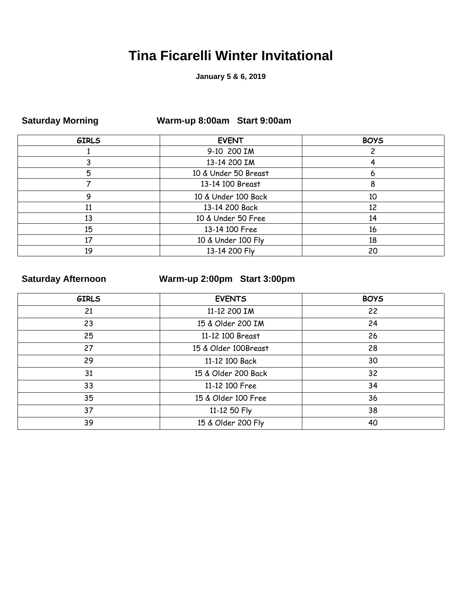## **Tina Ficarelli Winter Invitational**

### **January 5 & 6, 2019**

| <b>UALAI YAY INDITIIIY</b> | $\mathbf{r}$ and $\mathbf{r}$ and $\mathbf{r}$ are $\mathbf{r}$ and $\mathbf{r}$ and $\mathbf{r}$ are $\mathbf{r}$ |             |  |
|----------------------------|--------------------------------------------------------------------------------------------------------------------|-------------|--|
| <b>GIRLS</b>               | <b>EVENT</b>                                                                                                       | <b>BOYS</b> |  |
|                            | 9-10 200 IM                                                                                                        |             |  |
|                            | 13-14 200 IM                                                                                                       |             |  |
| 5                          | 10 & Under 50 Breast                                                                                               | 6           |  |
|                            | 13-14 100 Breast                                                                                                   | 8           |  |
|                            | 10 & Under 100 Back                                                                                                | 10          |  |
| 11                         | 13-14 200 Back                                                                                                     | 12          |  |
| 13                         | 10 & Under 50 Free                                                                                                 | 14          |  |
| 15                         | 13-14 100 Free                                                                                                     | 16          |  |
| 17                         | 10 & Under 100 Fly                                                                                                 | 18          |  |
| 19                         | 13-14 200 Fly                                                                                                      | 20          |  |

### **Saturday Morning Warm-up 8:00am Start 9:00am**

### **Saturday Afternoon Warm-up 2:00pm Start 3:00pm**

| <b>GIRLS</b> | <b>EVENTS</b>        | <b>BOYS</b> |
|--------------|----------------------|-------------|
| 21           | 11-12 200 IM         | 22          |
| 23           | 15 & Older 200 IM    | 24          |
| 25           | 11-12 100 Breast     | 26          |
| 27           | 15 & Older 100Breast | 28          |
| 29           | 11-12 100 Back       | 30          |
| 31           | 15 & Older 200 Back  | 32          |
| 33           | 11-12 100 Free       | 34          |
| 35           | 15 & Older 100 Free  | 36          |
| 37           | 11-12 50 Fly         | 38          |
| 39           | 15 & Older 200 Fly   | 40          |